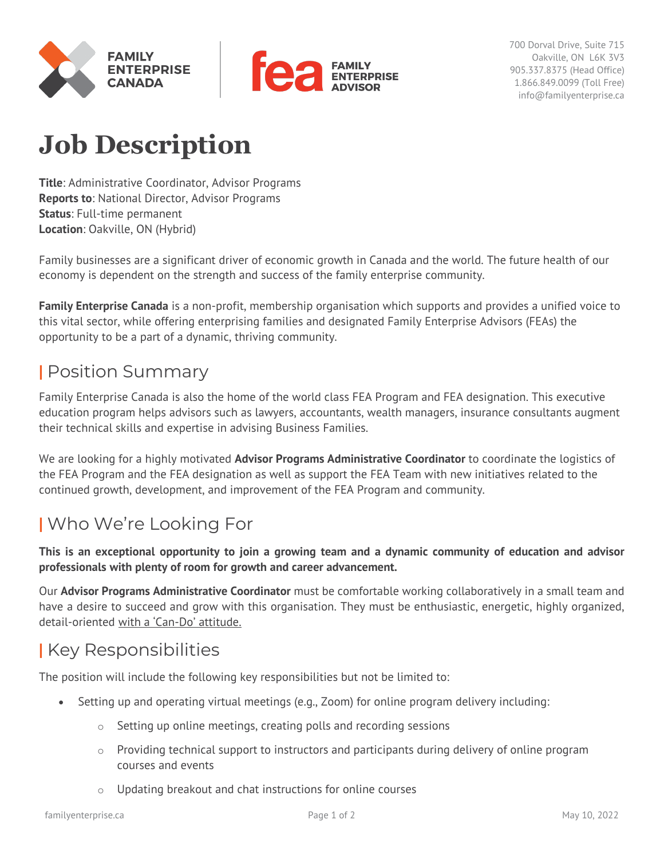



700 Dorval Drive, Suite 715 Oakville, ON L6K 3V3 905.337.8375 (Head Office) 1.866.849.0099 (Toll Free) info@familyenterprise.ca

# **Job Description**

**Title**: Administrative Coordinator, Advisor Programs **Reports to**: National Director, Advisor Programs **Status**: Full-time permanent **Location**: Oakville, ON (Hybrid)

Family businesses are a significant driver of economic growth in Canada and the world. The future health of our economy is dependent on the strength and success of the family enterprise community.

**Family Enterprise Canada** is a non-profit, membership organisation which supports and provides a unified voice to this vital sector, while offering enterprising families and designated Family Enterprise Advisors (FEAs) the opportunity to be a part of a dynamic, thriving community.

### **|** Position Summary

Family Enterprise Canada is also the home of the world class FEA Program and FEA designation. This executive education program helps advisors such as lawyers, accountants, wealth managers, insurance consultants augment their technical skills and expertise in advising Business Families.

We are looking for a highly motivated **Advisor Programs Administrative Coordinator** to coordinate the logistics of the FEA Program and the FEA designation as well as support the FEA Team with new initiatives related to the continued growth, development, and improvement of the FEA Program and community.

# **|** Who We're Looking For

**This is an exceptional opportunity to join a growing team and a dynamic community of education and advisor professionals with plenty of room for growth and career advancement.** 

Our **Advisor Programs Administrative Coordinator** must be comfortable working collaboratively in a small team and have a desire to succeed and grow with this organisation. They must be enthusiastic, energetic, highly organized, detail-oriented with a 'Can-Do' attitude.

## **|** Key Responsibilities

The position will include the following key responsibilities but not be limited to:

- Setting up and operating virtual meetings (e.g., Zoom) for online program delivery including:
	- o Setting up online meetings, creating polls and recording sessions
	- $\circ$  Providing technical support to instructors and participants during delivery of online program courses and events
	- o Updating breakout and chat instructions for online courses